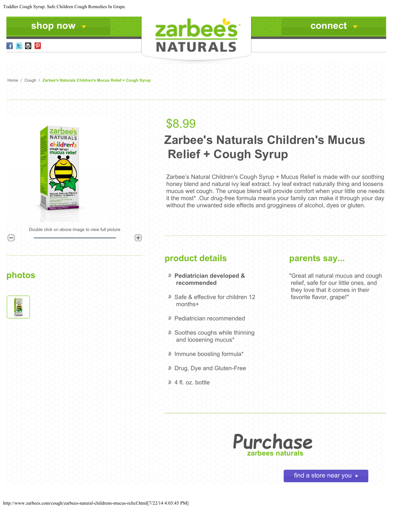



**photos**

 $\ominus$ 

# \$8.99

**NATURALS** 

# **Zarbee's Naturals Children's Mucus Relief + Cough Syrup**

Zarbee's Natural Children's Cough Syrup + Mucus Relief is made with our soothing honey blend and natural ivy leaf extract. Ivy leaf extract naturally thing and loosens mucus wet cough. The unique blend will provide comfort when your little one needs it the most\* .Our drug-free formula means your family can make it through your day without the unwanted side effects and grogginess of alcohol, dyes or gluten.

### **product details**

 $+$ 

- **Pediatrician developed & recommended**
- Safe & effective for children 12 months+
- **Pediatrician recommended**
- Soothes coughs while thinning and loosening mucus\*
- Immune boosting formula\*
- Drug, Dye and Gluten-Free
- # 4 fl. oz. bottle

#### **parents say...**

"Great all natural mucus and cough relief, safe for our little ones, and they love that it comes in their favorite flavor, grape!"

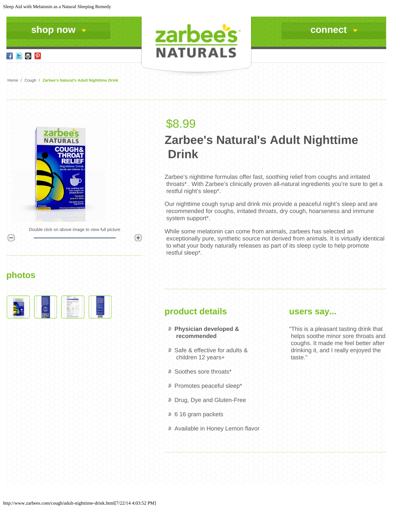$f \in \mathbb{R}^p$ 



[Home](http://www.zarbees.com/) / [Cough](http://www.zarbees.com/cough.html) / **Zarbee's Natural's Adult Nighttime Drink**





## \$8.99 **Zarbee's Natural's Adult Nighttime Drink**

Zarbee's nighttime formulas offer fast, soothing relief from coughs and irritated throats\* . With Zarbee's clinically proven all-natural ingredients you're sure to get a restful night's sleep\*.

Our nighttime cough syrup and drink mix provide a peaceful night's sleep and are recommended for coughs, irritated throats, dry cough, hoarseness and immune system support\*.

While some melatonin can come from animals, zarbees has selected an exceptionally pure, synthetic source not derived from animals. It is virtually identical to what your body naturally releases as part of its sleep cycle to help promote restful sleep\*.

### **photos**

|  |  | $\sim$ |  |
|--|--|--------|--|
|  |  | $\sim$ |  |
|  |  | $\sim$ |  |

### **product details**

 $+$ 

- **Physician developed & recommended**
- Safe & effective for adults & children 12 years+
- Soothes sore throats\*
- **Promotes peaceful sleep\***
- Drug, Dye and Gluten-Free
- <sup>6</sup> 6 16 gram packets
- Available in Honey Lemon flavor

#### **users say...**

"This is a pleasant tasting drink that helps soothe minor sore throats and coughs. It made me feel better after drinking it, and I really enjoyed the taste."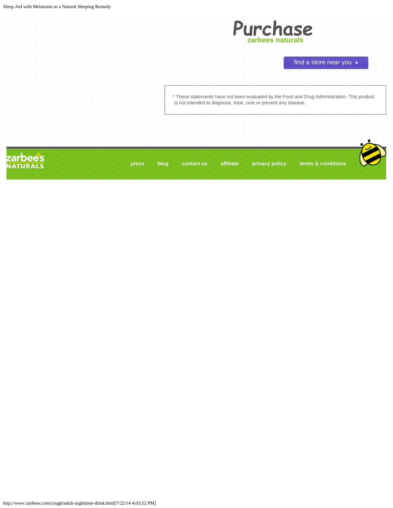

```
find a store near you
```
\* These statements have not been evaluated by the Food and Drug Administration. This product is not intended to diagnose, treat, cure or prevent any disease.

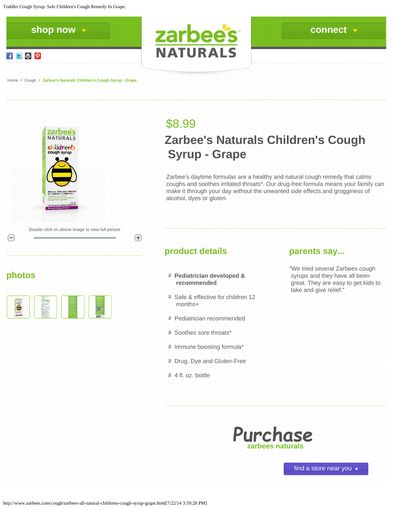Toddler Cough Syrup. Safe Children's Cough Remedy In Grape.



[Home](http://www.zarbees.com/) / [Cough](http://www.zarbees.com/cough.html) / **Zarbee's Naturals Children's Cough Syrup - Grape**



**photos**

## \$8.99

**NATURALS** 

# **Zarbee's Naturals Children's Cough Syrup - Grape**

Zarbee's daytime formulas are a healthy and natural cough remedy that calms coughs and soothes irritated throats\*. Our drug-free formula means your family can make it through your day without the unwanted side effects and grogginess of alcohol, dyes or gluten.

### **product details**

 $(+)$ 

- **Pediatrician developed & recommended**
- Safe & effective for children 12 months+
- **Pediatrician recommended**
- Soothes sore throats\*
- Immune boosting formula\*
- Drug, Dye and Gluten-Free
- # 4 fl. oz. bottle

#### **parents say...**

"We tried several Zarbees cough syrups and they have all been great. They are easy to get kids to take and give relief."



find a store near you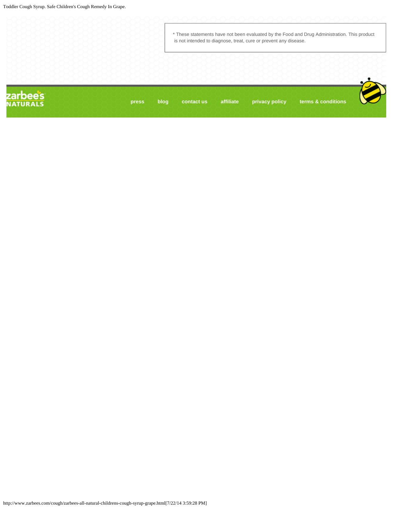|                            |       |      | * These statements have not been evaluated by the Food and Drug Administration. This product<br>is not intended to diagnose, treat, cure or prevent any disease. |           |                |                    |  |  |  |
|----------------------------|-------|------|------------------------------------------------------------------------------------------------------------------------------------------------------------------|-----------|----------------|--------------------|--|--|--|
|                            |       |      |                                                                                                                                                                  |           |                |                    |  |  |  |
| zarbees<br><b>NATURALS</b> | press | blog | contact us                                                                                                                                                       | affiliate | privacy policy | terms & conditions |  |  |  |